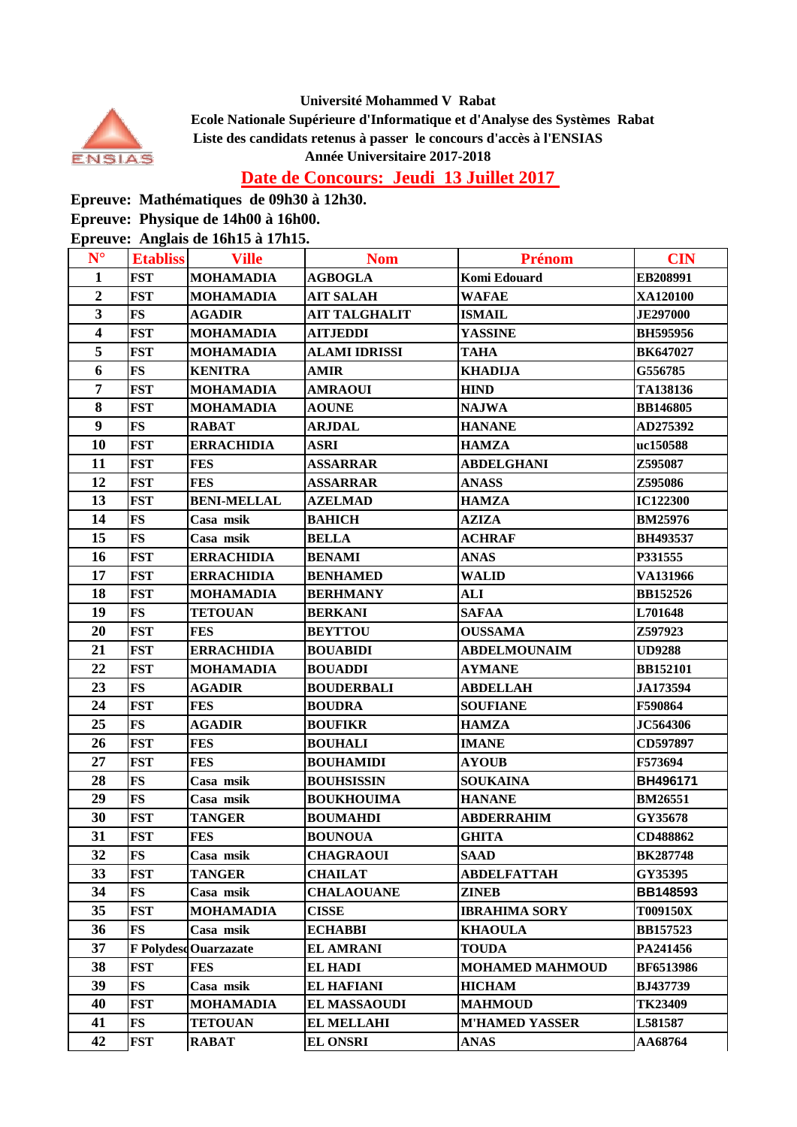



 **Ecole Nationale Supérieure d'Informatique et d'Analyse des Systèmes Rabat Liste des candidats retenus à passer le concours d'accès à l'ENSIAS Année Universitaire 2017-2018**

**Date de Concours: Jeudi 13 Juillet 2017** 

**Epreuve: Mathématiques de 09h30 à 12h30.**

**Epreuve: Physique de 14h00 à 16h00.**

**Epreuve: Anglais de 16h15 à 17h15.**

| $N^{\circ}$             | <b>Etabliss</b> | <b>Ville</b>                | <b>Nom</b>           | <b>Prénom</b>          | <b>CIN</b>       |
|-------------------------|-----------------|-----------------------------|----------------------|------------------------|------------------|
| $\mathbf{1}$            | <b>FST</b>      | <b>MOHAMADIA</b>            | <b>AGBOGLA</b>       | Komi Edouard           | EB208991         |
| $\overline{2}$          | <b>FST</b>      | <b>MOHAMADIA</b>            | <b>AIT SALAH</b>     | <b>WAFAE</b>           | XA120100         |
| 3                       | <b>FS</b>       | <b>AGADIR</b>               | <b>AIT TALGHALIT</b> | <b>ISMAIL</b>          | <b>JE297000</b>  |
| $\overline{\mathbf{4}}$ | <b>FST</b>      | <b>MOHAMADIA</b>            | <b>AITJEDDI</b>      | <b>YASSINE</b>         | <b>BH595956</b>  |
| 5                       | <b>FST</b>      | <b>MOHAMADIA</b>            | ALAMI IDRISSI        | <b>TAHA</b>            | <b>BK647027</b>  |
| 6                       | <b>FS</b>       | <b>KENITRA</b>              | <b>AMIR</b>          | <b>KHADIJA</b>         | G556785          |
| $\overline{7}$          | <b>FST</b>      | <b>MOHAMADIA</b>            | <b>AMRAOUI</b>       | <b>HIND</b>            | TA138136         |
| 8                       | <b>FST</b>      | MOHAMADIA                   | <b>AOUNE</b>         | <b>NAJWA</b>           | <b>BB146805</b>  |
| $\boldsymbol{9}$        | <b>FS</b>       | <b>RABAT</b>                | <b>ARJDAL</b>        | <b>HANANE</b>          | AD275392         |
| 10                      | <b>FST</b>      | <b>ERRACHIDIA</b>           | <b>ASRI</b>          | <b>HAMZA</b>           | uc150588         |
| 11                      | <b>FST</b>      | <b>FES</b>                  | <b>ASSARRAR</b>      | <b>ABDELGHANI</b>      | Z595087          |
| 12                      | <b>FST</b>      | <b>FES</b>                  | <b>ASSARRAR</b>      | <b>ANASS</b>           | Z595086          |
| 13                      | <b>FST</b>      | <b>BENI-MELLAL</b>          | <b>AZELMAD</b>       | <b>HAMZA</b>           | <b>IC122300</b>  |
| 14                      | <b>FS</b>       | Casa msik                   | <b>ВАНІСН</b>        | <b>AZIZA</b>           | <b>BM25976</b>   |
| 15                      | <b>FS</b>       | Casa msik                   | <b>BELLA</b>         | <b>ACHRAF</b>          | <b>BH493537</b>  |
| 16                      | <b>FST</b>      | <b>ERRACHIDIA</b>           | <b>BENAMI</b>        | <b>ANAS</b>            | P331555          |
| 17                      | <b>FST</b>      | <b>ERRACHIDIA</b>           | <b>BENHAMED</b>      | <b>WALID</b>           | VA131966         |
| 18                      | <b>FST</b>      | <b>MOHAMADIA</b>            | <b>BERHMANY</b>      | ALI                    | <b>BB152526</b>  |
| 19                      | <b>FS</b>       | <b>TETOUAN</b>              | <b>BERKANI</b>       | <b>SAFAA</b>           | L701648          |
| 20                      | <b>FST</b>      | <b>FES</b>                  | <b>BEYTTOU</b>       | <b>OUSSAMA</b>         | Z597923          |
| 21                      | <b>FST</b>      | <b>ERRACHIDIA</b>           | <b>BOUABIDI</b>      | <b>ABDELMOUNAIM</b>    | <b>UD9288</b>    |
| 22                      | <b>FST</b>      | <b>MOHAMADIA</b>            | <b>BOUADDI</b>       | <b>AYMANE</b>          | <b>BB152101</b>  |
| 23                      | <b>FS</b>       | <b>AGADIR</b>               | <b>BOUDERBALI</b>    | <b>ABDELLAH</b>        | JA173594         |
| 24                      | <b>FST</b>      | <b>FES</b>                  | <b>BOUDRA</b>        | <b>SOUFIANE</b>        | F590864          |
| 25                      | <b>FS</b>       | <b>AGADIR</b>               | <b>BOUFIKR</b>       | <b>HAMZA</b>           | <b>JC564306</b>  |
| 26                      | <b>FST</b>      | <b>FES</b>                  | <b>BOUHALI</b>       | <b>IMANE</b>           | CD597897         |
| 27                      | <b>FST</b>      | <b>FES</b>                  | <b>BOUHAMIDI</b>     | <b>AYOUB</b>           | F573694          |
| 28                      | <b>FS</b>       | Casa msik                   | <b>BOUHSISSIN</b>    | <b>SOUKAINA</b>        | BH496171         |
| 29                      | <b>FS</b>       | Casa msik                   | <b>BOUKHOUIMA</b>    | <b>HANANE</b>          | <b>BM26551</b>   |
| 30                      | <b>FST</b>      | <b>TANGER</b>               | <b>BOUMAHDI</b>      | <b>ABDERRAHIM</b>      | GY35678          |
| 31                      | <b>FST</b>      | <b>FES</b>                  | <b>BOUNOUA</b>       | <b>GHITA</b>           | CD488862         |
| 32                      | <b>FS</b>       | Casa msik                   | <b>CHAGRAOUI</b>     | <b>SAAD</b>            | <b>BK287748</b>  |
| 33                      | <b>FST</b>      | <b>TANGER</b>               | <b>CHAILAT</b>       | <b>ABDELFATTAH</b>     | GY35395          |
| 34                      | <b>FS</b>       | Casa msik                   | <b>CHALAOUANE</b>    | <b>ZINEB</b>           | <b>BB148593</b>  |
| 35                      | <b>FST</b>      | <b>MOHAMADIA</b>            | <b>CISSE</b>         | <b>IBRAHIMA SORY</b>   | T009150X         |
| 36                      | <b>FS</b>       | Casa msik                   | <b>ECHABBI</b>       | <b>KHAOULA</b>         | <b>BB157523</b>  |
| 37                      |                 | <b>F</b> PolydesdOuarzazate | <b>EL AMRANI</b>     | <b>TOUDA</b>           | PA241456         |
| 38                      | <b>FST</b>      | <b>FES</b>                  | <b>EL HADI</b>       | <b>MOHAMED MAHMOUD</b> | <b>BF6513986</b> |
| 39                      | <b>FS</b>       | Casa msik                   | <b>EL HAFIANI</b>    | <b>HICHAM</b>          | <b>BJ437739</b>  |
| 40                      | <b>FST</b>      | <b>MOHAMADIA</b>            | <b>EL MASSAOUDI</b>  | <b>MAHMOUD</b>         | <b>TK23409</b>   |
| 41                      | FS              | <b>TETOUAN</b>              | <b>EL MELLAHI</b>    | <b>M'HAMED YASSER</b>  | L581587          |
| 42                      | <b>FST</b>      | <b>RABAT</b>                | <b>EL ONSRI</b>      | <b>ANAS</b>            | <b>AA68764</b>   |